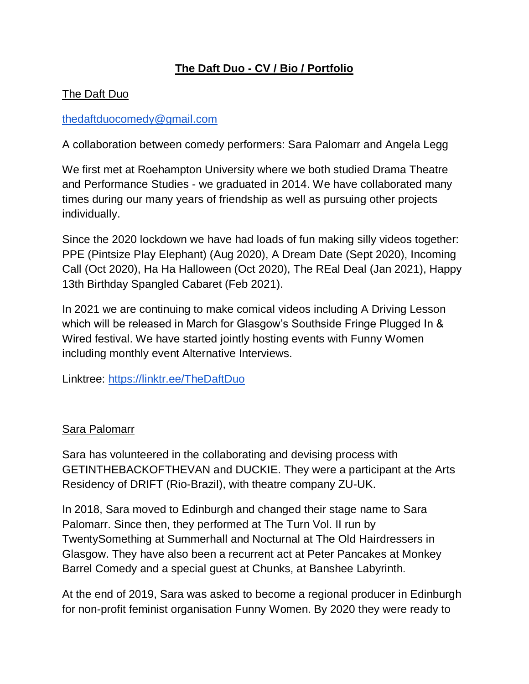# **The Daft Duo - CV / Bio / Portfolio**

### The Daft Duo

#### [thedaftduocomedy@gmail.com](mailto:thedaftduocomedy@gmail.com)

A collaboration between comedy performers: Sara Palomarr and Angela Legg

We first met at Roehampton University where we both studied Drama Theatre and Performance Studies - we graduated in 2014. We have collaborated many times during our many years of friendship as well as pursuing other projects individually.

Since the 2020 lockdown we have had loads of fun making silly videos together: PPE (Pintsize Play Elephant) (Aug 2020), A Dream Date (Sept 2020), Incoming Call (Oct 2020), Ha Ha Halloween (Oct 2020), The REal Deal (Jan 2021), Happy 13th Birthday Spangled Cabaret (Feb 2021).

In 2021 we are continuing to make comical videos including A Driving Lesson which will be released in March for Glasgow's Southside Fringe Plugged In & Wired festival. We have started jointly hosting events with Funny Women including monthly event Alternative Interviews.

Linktree:<https://linktr.ee/TheDaftDuo>

#### Sara Palomarr

Sara has volunteered in the collaborating and devising process with GETINTHEBACKOFTHEVAN and DUCKIE. They were a participant at the Arts Residency of DRIFT (Rio-Brazil), with theatre company ZU-UK.

In 2018, Sara moved to Edinburgh and changed their stage name to Sara Palomarr. Since then, they performed at The Turn Vol. II run by TwentySomething at Summerhall and Nocturnal at The Old Hairdressers in Glasgow. They have also been a recurrent act at Peter Pancakes at Monkey Barrel Comedy and a special guest at Chunks, at Banshee Labyrinth.

At the end of 2019, Sara was asked to become a regional producer in Edinburgh for non-profit feminist organisation Funny Women. By 2020 they were ready to